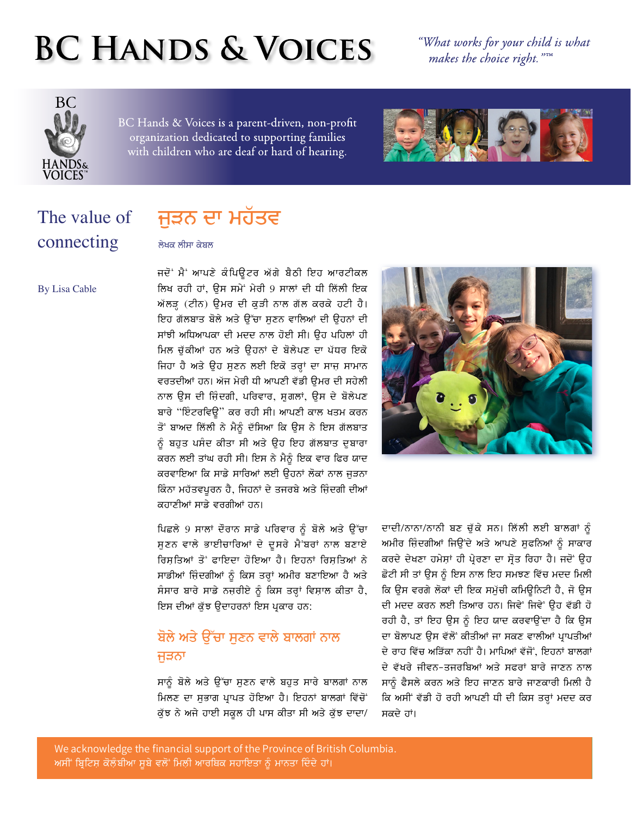# **BC HANDS & VOICES**

"What works for your child is what makes the choice right."IM



BC Hands & Voices is a parent-driven, non-profit organization dedicated to supporting families with children who are deaf or hard of hearing.



### The value of connecting

## ਜੁੜਨ ਦਾ ਮਹੱਤਵ

ਲੇਖਕ ਲੀਸਾ ਕੇਬਲ

**By Lisa Cable** 

ਜਦੋਂ ਮੈਂ ਆਪਣੇ ਕੰਪਿਊਟਰ ਅੱਗੇ ਬੈਠੀ ਇਹ ਆਰਟੀਕਲ ਲਿਖ ਰਹੀ ਹਾਂ, ਉਸ ਸਮੇਂ ਮੇਰੀ 9 ਸਾਲਾਂ ਦੀ ਧੀ ਲਿੱਲੀ ਇਕ ਅੱਲੜ੍ਹ (ਟੀਨ) ਉਮਰ ਦੀ ਕੁੜੀ ਨਾਲ ਗੱਲ ਕਰਕੇ ਹਟੀ ਹੈ। ਇਹ ਗੱਲਬਾਤ ਬੋਲੇ ਅਤੇ ਉੱਚਾ ਸਣਨ ਵਾਲਿਆਂ ਦੀ ਉਹਨਾਂ ਦੀ ਸਾਂਝੀ ਅਧਿਆਪਕਾ ਦੀ ਮਦਦ ਨਾਲ ਹੋਈ ਸੀ। ਉਹ ਪਹਿਲਾਂ ਹੀ ਮਿਲ ਚੱਕੀਆਂ ਹਨ ਅਤੇ ਉਹਨਾਂ ਦੇ ਬੋਲੇਪਣ ਦਾ ਪੱਧਰ ਇਕੋ ਜਿਹਾ ਹੈ ਅਤੇ ਉਹ ਸੁਣਨ ਲਈ ਇਕੋ ਤਰ੍ਹਾਂ ਦਾ ਸਾਜ ਸਾਮਾਨ ਵਰਤਦੀਆਂ ਹਨ। ਅੱਜ ਮੇਰੀ ਧੀ ਆਪਣੀ ਵੱਡੀ ੳਮਰ ਦੀ ਸਹੇਲੀ ਨਾਲ ਉਸ ਦੀ ਜ਼ਿੰਦਗੀ, ਪਰਿਵਾਰ, ਸ਼ਗਲਾਂ, ਉਸ ਦੇ ਬੋਲੇਪਣ ਬਾਰੇ "ਇੰਟਰਵਿਊ" ਕਰ ਰਹੀ ਸੀ। ਆਪਣੀ ਕਾਲ ਖਤਮ ਕਰਨ ਤੋਂ ਬਾਅਦ ਲਿੱਲੀ ਨੇ ਮੈਨੂੰ ਦੱਸਿਆ ਕਿ ਉਸ ਨੇ ਇਸ ਗੱਲਬਾਤ ਨੂੰ ਬਹੁਤ ਪਸੰਦ ਕੀਤਾ ਸੀ ਅਤੇ ਉਹ ਇਹ ਗੱਲਬਾਤ ਦੁਬਾਰਾ ਕਰਨ ਲਈ ਤਾਂਘ ਰਹੀ ਸੀ। ਇਸ ਨੇ ਮੈਨੂੰ ਇਕ ਵਾਰ ਫਿਰ ਯਾਦ ਕਰਵਾਇਆ ਕਿ ਸਾਡੇ ਸਾਰਿਆਂ ਲਈ ਉਹਨਾਂ ਲੋਕਾਂ ਨਾਲ ਜੁੜਨਾ ਕਿੰਨਾ ਮਹੱਤਵਪੂਰਨ ਹੈ, ਜਿਹਨਾਂ ਦੇ ਤਜਰਬੇ ਅਤੇ ਜ਼ਿੰਦਗੀ ਦੀਆਂ ਕਹਾਣੀਆਂ ਸਾਡੇ ਵਰਗੀਆਂ ਹਨ।

ਪਿਛਲੇ 9 ਸਾਲਾਂ ਦੌਰਾਨ ਸਾਡੇ ਪਰਿਵਾਰ ਨੂੰ ਬੋਲੇ ਅਤੇ ਉੱਚਾ ਸੁਣਨ ਵਾਲੇ ਭਾਈਚਾਰਿਆਂ ਦੇ ਦੂਸਰੇ ਮੈਂਬਰਾਂ ਨਾਲ ਬਣਾਏ ਰਿਸ਼ਤਿਆਂ ਤੋਂ ਫਾਇਦਾ ਹੋਇਆ ਹੈ। ਇਹਨਾਂ ਰਿਸ਼ਤਿਆਂ ਨੇ ਸਾਡੀਆਂ ਜ਼ਿੰਦਗੀਆਂ ਨੂੰ ਕਿਸ ਤਰਾਂ ਅਮੀਰ ਬਣਾਇਆ ਹੈ ਅਤੇ ਸੰਸਾਰ ਬਾਰੇ ਸਾਡੇ ਨਜ਼ਰੀਏ ਨੂੰ ਕਿਸ ਤਰ੍ਹਾਂ ਵਿਸ਼ਾਲ ਕੀਤਾ ਹੈ, ਇਸ ਦੀਆਂ ਕੁੱਝ ਉਦਾਹਰਨਾਂ ਇਸ ਪ੍ਰਕਾਰ ਹਨ:

#### ਬੋਲੇ ਅਤੇ ਉੱਚਾ ਸੁਣਨ ਵਾਲੇ ਬਾਲਗਾਂ ਨਾਲ ਜੜਨਾ

ਸਾਨੂੰ ਬੋਲੇ ਅਤੇ ਉੱਚਾ ਸੁਣਨ ਵਾਲੇ ਬਹੁਤ ਸਾਰੇ ਬਾਲਗਾਂ ਨਾਲ ਮਿਲਣ ਦਾ ਸੁਭਾਗ ਪ੍ਰਾਪਤ ਹੋਇਆ ਹੈ। ਇਹਨਾਂ ਬਾਲਗਾਂ ਵਿੱਚੋਂ ਕੁੱਝ ਨੇ ਅਜੇ ਹਾਈ ਸਕੂਲ ਹੀ ਪਾਸ ਕੀਤਾ ਸੀ ਅਤੇ ਕੁੱਝ ਦਾਦਾ/



ਦਾਦੀ/ਨਾਨਾ/ਨਾਨੀ ਬਣ ਚੁੱਕੇ ਸਨ। ਲਿੱਲੀ ਲਈ ਬਾਲਗਾਂ ਨੂੰ ਅਮੀਰ ਜ਼ਿੰਦਗੀਆਂ ਜਿਉਂਦੇ ਅਤੇ ਆਪਣੇ ਸੁਫਨਿਆਂ ਨੂੰ ਸਾਕਾਰ ਕਰਦੇ ਦੇਖਣਾ ਹਮੇਸ਼ਾਂ ਹੀ ਪ੍ਰੇਰਣਾ ਦਾ ਸ੍ਰੋਤ ਰਿਹਾ ਹੈ। ਜਦੋਂ ਉਹ ਛੋਟੀ ਸੀ ਤਾਂ ਉਸ ਨੂੰ ਇਸ ਨਾਲ ਇਹ ਸਮਝਣ ਵਿੱਚ ਮਦਦ ਮਿਲੀ ਕਿ ਉਸ ਵਰਗੇ ਲੋਕਾਂ ਦੀ ਇਕ ਸਮੁੱਚੀ ਕਮਿਊਨਿਟੀ ਹੈ, ਜੋ ਉਸ ਦੀ ਮਦਦ ਕਰਨ ਲਈ ਤਿਆਰ ਹਨ। ਜਿਵੇਂ ਜਿਵੇਂ ਉਹ ਵੱਡੀ ਹੋ ਰਹੀ ਹੈ, ਤਾਂ ਇਹ ਉਸ ਨੂੰ ਇਹ ਯਾਦ ਕਰਵਾਉਂਦਾ ਹੈ ਕਿ ਉਸ ਦਾ ਬੋਲਾਪਣ ਉਸ ਵੱਲੋਂ ਕੀਤੀਆਂ ਜਾ ਸਕਣ ਵਾਲੀਆਂ ਪ੍ਰਾਪਤੀਆਂ ਦੇ ਰਾਹ ਵਿੱਚ ਅੜਿੱਕਾ ਨਹੀਂ ਹੈ। ਮਾਪਿਆਂ ਵੱਜੋਂ, ਇਹਨਾਂ ਬਾਲਗਾਂ ਦੇ ਵੱਖਰੇ ਜੀਵਨ-ਤਜਰਬਿਆਂ ਅਤੇ ਸਫਰਾਂ ਬਾਰੇ ਜਾਣਨ ਨਾਲ ਸਾਨੂੰ ਫੈਸਲੇ ਕਰਨ ਅਤੇ ਇਹ ਜਾਣਨ ਬਾਰੇ ਜਾਣਕਾਰੀ ਮਿਲੀ ਹੈ ਕਿ ਅਸੀਂ ਵੱਡੀ ਹੋ ਰਹੀ ਆਪਣੀ ਧੀ ਦੀ ਕਿਸ ਤਰ੍ਹਾਂ ਮਦਦ ਕਰ ਸਕਦੇ ਹਾਂ।

We acknowledge the financial support of the Province of British Columbia. ਅਸੀਂ ਬ੍ਰਿਟਿਸ਼ ਕੋਲ਼ੰਬੀਆ ਸੂਬੇ ਵਲੋਂ ਮਿਲ਼ੀ ਆਰਥਿਕ ਸਹਾਇਤਾ ਨੂੰ ਮਾਨਤਾ ਦਿੰਦੇ ਹਾਂ।